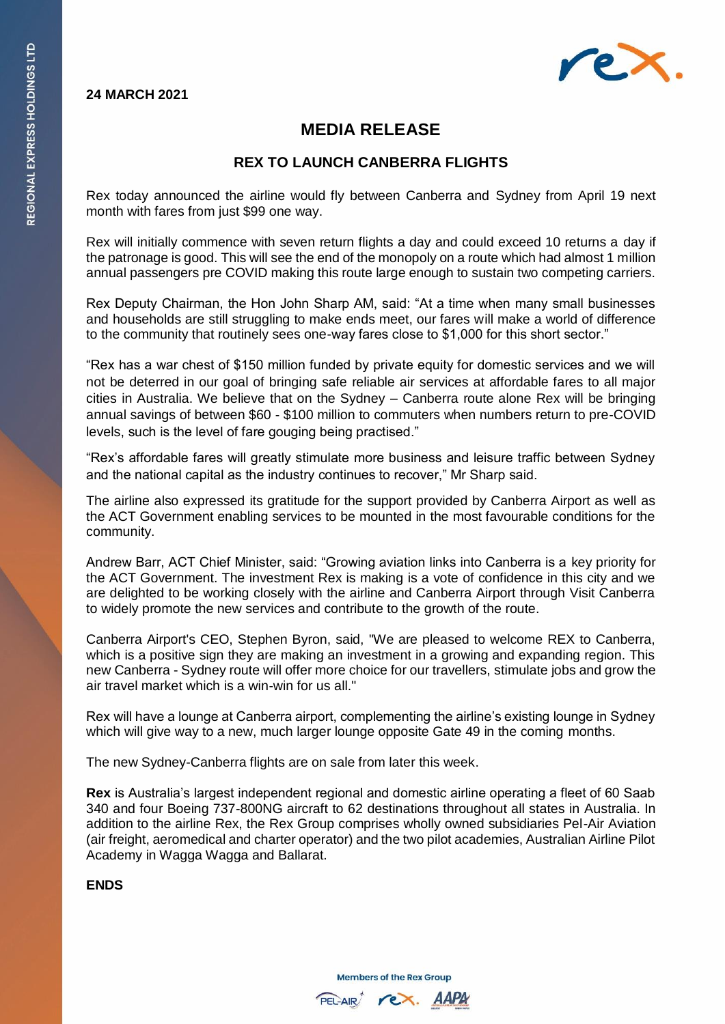### **24 MARCH 2021**



## **MEDIA RELEASE**

### **REX TO LAUNCH CANBERRA FLIGHTS**

Rex today announced the airline would fly between Canberra and Sydney from April 19 next month with fares from just \$99 one way.

Rex will initially commence with seven return flights a day and could exceed 10 returns a day if the patronage is good. This will see the end of the monopoly on a route which had almost 1 million annual passengers pre COVID making this route large enough to sustain two competing carriers.

Rex Deputy Chairman, the Hon John Sharp AM, said: "At a time when many small businesses and households are still struggling to make ends meet, our fares will make a world of difference to the community that routinely sees one-way fares close to \$1,000 for this short sector."

"Rex has a war chest of \$150 million funded by private equity for domestic services and we will not be deterred in our goal of bringing safe reliable air services at affordable fares to all major cities in Australia. We believe that on the Sydney – Canberra route alone Rex will be bringing annual savings of between \$60 - \$100 million to commuters when numbers return to pre-COVID levels, such is the level of fare gouging being practised."

"Rex's affordable fares will greatly stimulate more business and leisure traffic between Sydney and the national capital as the industry continues to recover," Mr Sharp said.

The airline also expressed its gratitude for the support provided by Canberra Airport as well as the ACT Government enabling services to be mounted in the most favourable conditions for the community.

Andrew Barr, ACT Chief Minister, said: "Growing aviation links into Canberra is a key priority for the ACT Government. The investment Rex is making is a vote of confidence in this city and we are delighted to be working closely with the airline and Canberra Airport through Visit Canberra to widely promote the new services and contribute to the growth of the route.

Canberra Airport's CEO, Stephen Byron, said, "We are pleased to welcome REX to Canberra, which is a positive sign they are making an investment in a growing and expanding region. This new Canberra - Sydney route will offer more choice for our travellers, stimulate jobs and grow the air travel market which is a win-win for us all."

Rex will have a lounge at Canberra airport, complementing the airline's existing lounge in Sydney which will give way to a new, much larger lounge opposite Gate 49 in the coming months.

The new Sydney-Canberra flights are on sale from later this week.

**Rex** is Australia's largest independent regional and domestic airline operating a fleet of 60 Saab 340 and four Boeing 737-800NG aircraft to 62 destinations throughout all states in Australia. In addition to the airline Rex, the Rex Group comprises wholly owned subsidiaries Pel-Air Aviation (air freight, aeromedical and charter operator) and the two pilot academies, Australian Airline Pilot Academy in Wagga Wagga and Ballarat.

#### **ENDS**

**Members of the Rex Group**